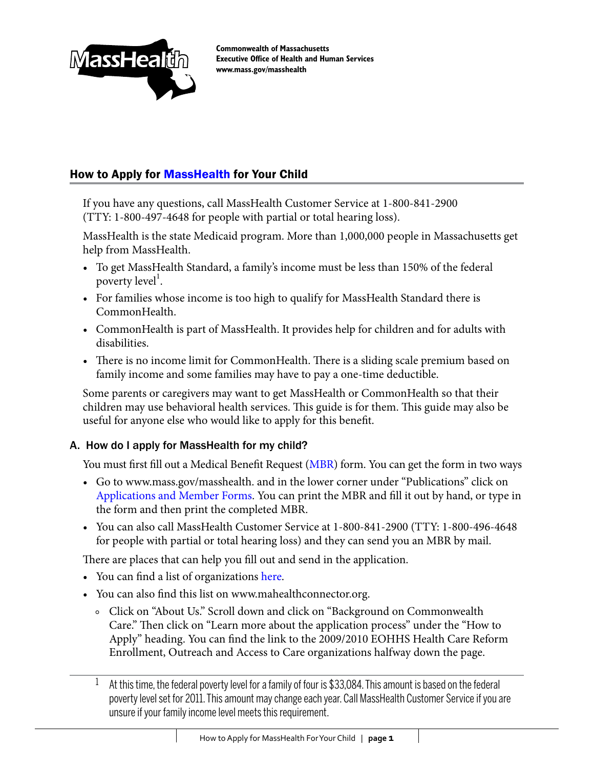

**Commonwealth of Massachusetts Executive Office of Health and Human Services www.mass.gov/masshealth**

## How to Apply for **MassHealth** for Your Child

If you have any questions, call MassHealth Customer Service at 1-800-841-2900 (TTY: 1-800-497-4648 for people with partial or total hearing loss).

MassHealth is the state Medicaid program. More than 1,000,000 people in Massachusetts get help from MassHealth.

- To get MassHealth Standard, a family's income must be less than 150% of the federal poverty level<sup>1</sup>.
- For families whose income is too high to qualify for MassHealth Standard there is CommonHealth.
- CommonHealth is part of MassHealth. It provides help for children and for adults with disabilities.
- There is no income limit for CommonHealth. There is a sliding scale premium based on family income and some families may have to pay a one-time deductible.

Some parents or caregivers may want to get MassHealth or CommonHealth so that their children may use behavioral health services. This guide is for them. This guide may also be useful for anyone else who would like to apply for this benefit.

#### A. How do I apply for MassHealth for my child?

You must first fill out a Medical Benefit Request [\(MBR](http://www.mass.gov/Eeohhs2/docs/masshealth/appforms/mbr.pdf)) form. You can get the form in two ways

- Go to www.mass.gov/masshealth. and in the lower corner under "Publications" click on [Applications](http://www.mass.gov/?pageID=eohhs2terminal&L=4&L0=Home&L1=Consumer&L2=Insurance+(including+MassHealth)&L3=Apply+for+MassHealth+Coverage&sid=Eeohhs2&b=terminalcontent&f=masshealth_consumer_member_application-member-forms&csid=Eeohhs2) and Member Forms. You can print the MBR and fill it out by hand, or type in the form and then print the completed MBR.
- • You can also call MassHealth Customer Service at 1-800-841-2900 (TTY: 1-800-496-4648 for people with partial or total hearing loss) and they can send you an MBR by mail.

There are places that can help you fill out and send in the application.

- You can find a list of organizations [here.](https://www.mahealthconnector.org/portal/binary/com.epicentric.contentmanagement.servlet.ContentDeliveryServlet/About%2520Us/Connector%2520Programs/Applications/GranteeSpreadsheet.pdf)
- You can also find this list on www.mahealthconnector.org.
	- Click on "About Us." Scroll down and click on "Background on Commonwealth Care." Then click on "Learn more about the application process" under the "How to Apply" heading. You can find the link to the 2009/2010 EOHHS Health Care Reform Enrollment, Outreach and Access to Care organizations halfway down the page.
	- <sup>1</sup> At this time, the federal poverty level for a family of four is \$33,084. This amount is based on the federal poverty level set for 2011. This amount may change each year. Call MassHealth Customer Service if you are unsure if your family income level meets this requirement.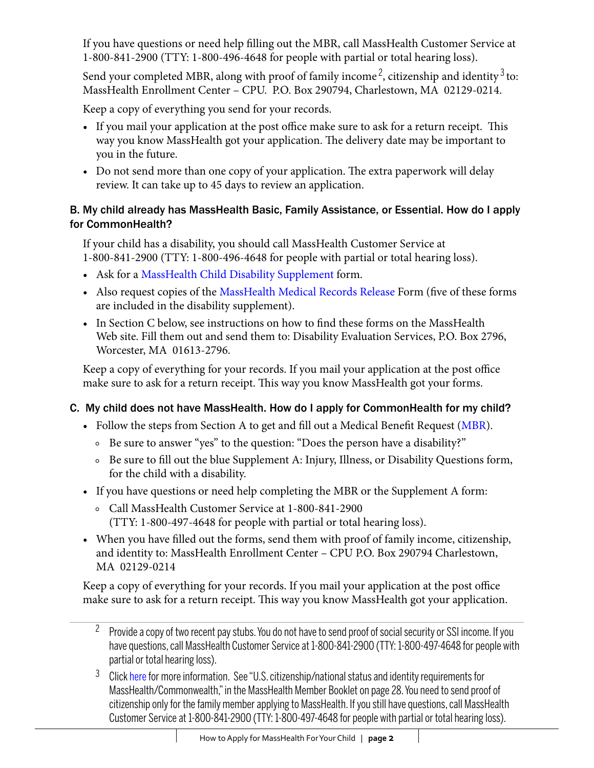If you have questions or need help filling out the MBR, call MassHealth Customer Service at 1-800-841-2900 (TTY: 1-800-496-4648 for people with partial or total hearing loss).

Send your completed MBR, along with proof of family income<sup>2</sup>, citizenship and identity<sup>3</sup> to: MassHealth Enrollment Center – CPU. P.O. Box 290794, Charlestown, MA 02129-0214.

Keep a copy of everything you send for your records.

- If you mail your application at the post office make sure to ask for a return receipt. This way you know MassHealth got your application. The delivery date may be important to you in the future.
- Do not send more than one copy of your application. The extra paperwork will delay review. It can take up to 45 days to review an application.

## B. My child already has MassHealth Basic, Family Assistance, or Essential. How do I apply for CommonHealth?

If your child has a disability, you should call MassHealth Customer Service at 1-800-841-2900 (TTY: 1-800-496-4648 for people with partial or total hearing loss).

- Ask for a MassHealth Child Disability [Supplement](http://www.mass.gov/Eeohhs2/docs/masshealth/appforms/mads_child.pdf) form.
- Also request copies of the [MassHealth](http://www.mass.gov/Eeohhs2/docs/masshealth/appforms/mh_mrr.pdf) Medical Records Release Form (five of these forms are included in the disability supplement).
- In Section C below, see instructions on how to find these forms on the MassHealth Web site. Fill them out and send them to: Disability Evaluation Services, P.O. Box 2796, Worcester, MA 01613-2796.

Keep a copy of everything for your records. If you mail your application at the post office make sure to ask for a return receipt. This way you know MassHealth got your forms.

# C. My child does not have MassHealth. How do I apply for CommonHealth for my child?

- Follow the steps from Section A to get and fill out a Medical Benefit Request [\(MBR](http://www.mass.gov/Eeohhs2/docs/masshealth/appforms/mbr.pdf)).
	- Be sure to answer "yes" to the question: "Does the person have a disability?"
	- Be sure to fill out the blue Supplement A: Injury, Illness, or Disability Questions form, for the child with a disability.
- If you have questions or need help completing the MBR or the Supplement A form:
	- Call MassHealth Customer Service at 1-800-841-2900 (TTY: 1-800-497-4648 for people with partial or total hearing loss).
- When you have filled out the forms, send them with proof of family income, citizenship, and identity to: MassHealth Enrollment Center – CPU P.O. Box 290794 Charlestown, MA 02129-0214

Keep a copy of everything for your records. If you mail your application at the post office make sure to ask for a return receipt. This way you know MassHealth got your application.

<sup>&</sup>lt;sup>2</sup> Provide a copy of two recent pay stubs. You do not have to send proof of social security or SSI income. If you have questions, call MassHealth Customer Service at 1-800-841-2900 (TTY: 1-800-497-4648 for people with partial or total hearing loss).

<sup>&</sup>lt;sup>3</sup> Clic[k here f](http://www.mass.gov/Eeohhs2/docs/masshealth/appforms/mh_member_booklet.pdf)or more information. See "U.S. citizenship/national status and identity requirements for MassHealth/Commonwealth," in the MassHealth Member Booklet on page 28. You need to send proof of citizenship only for the family member applying to MassHealth. If you still have questions, call MassHealth Customer Service at 1-800-841-2900 (TTY: 1-800-497-4648 for people with partial or total hearing loss).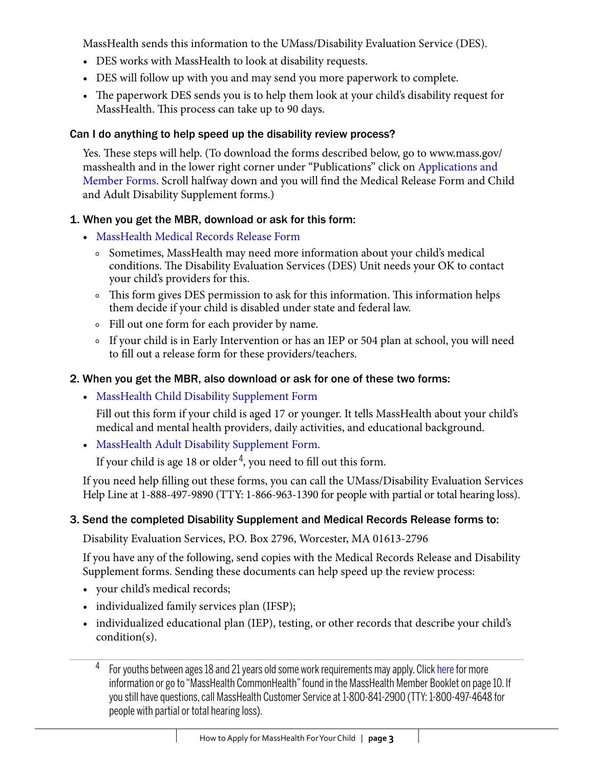MassHealth sends this information to the UMass/Disability Evaluation Service (DES).

- DES works with MassHealth to look at disability requests.
- DES will follow up with you and may send you more paperwork to complete.
- The paperwork DES sends you is to help them look at your child's disability request for MassHealth. This process can take up to 90 days.

## Can I do anything to help speed up the disability review process?

Yes. These steps will help. (To download the forms described below, go to www.mass.gov/ masshealth and in the lower right corner under "Publications" click on [Applications and](http://www.mass.gov/?pageID=eohhs2terminal&L=4&L0=Home&L1=Consumer&L2=Insurance+(including+MassHealth)&L3=Apply+for+MassHealth+Coverage&sid=Eeohhs2&b=terminalcontent&f=masshealth_consumer_member_application-member-forms&csid=Eeohhs2)  [Member](http://www.mass.gov/?pageID=eohhs2terminal&L=4&L0=Home&L1=Consumer&L2=Insurance+(including+MassHealth)&L3=Apply+for+MassHealth+Coverage&sid=Eeohhs2&b=terminalcontent&f=masshealth_consumer_member_application-member-forms&csid=Eeohhs2) Forms. Scroll halfway down and you will find the Medical Release Form and Child and Adult Disability Supplement forms.)

## 1. When you get the MBR, download or ask for this form:

- • [MassHealth](http://www.mass.gov/Eeohhs2/docs/masshealth/appforms/mh_mrr.pdf) Medical Records Release Form
	- Sometimes, MassHealth may need more information about your child's medical conditions. The Disability Evaluation Services (DES) Unit needs your OK to contact your child's providers for this.
	- This form gives DES permission to ask for this information. This information helps them decide if your child is disabled under state and federal law.
	- Fill out one form for each provider by name.
	- If your child is in Early Intervention or has an IEP or 504 plan at school, you will need to fill out a release form for these providers/teachers.

# 2. When you get the MBR, also download or ask for one of these two forms:

• MassHealth Child Disability [Supplement](http://www.mass.gov/Eeohhs2/docs/masshealth/appforms/mads_child.pdf) Form

Fill out this form if your child is aged 17 or younger. It tells MassHealth about your child's medical and mental health providers, daily activities, and educational background.

• MassHealth Adult Disability [Supplement](http://www.mass.gov/Eeohhs2/docs/masshealth/appforms/mads_adult.pdf) Form.

If your child is age 18 or older  $4$ , you need to fill out this form.

If you need help filling out these forms, you can call the UMass/Disability Evaluation Services Help Line at 1-888-497-9890 (TTY: 1-866-963-1390 for people with partial or total hearing loss).

# 3. Send the completed Disability Supplement and Medical Records Release forms to:

Disability Evaluation Services, P.O. Box 2796, Worcester, MA 01613-2796

If you have any of the following, send copies with the Medical Records Release and Disability Supplement forms. Sending these documents can help speed up the review process:

- • your child's medical records;
- individualized family services plan (IFSP);
- individualized educational plan (IEP), testing, or other records that describe your child's condition(s).
	- <sup>4</sup> For youths between ages 18 and 21 years old some work requirements may apply. Clic[k here fo](http://www.mass.gov/Eeohhs2/docs/masshealth/appforms/mh_member_booklet.pdf)r more information or go to "MassHealth CommonHealth" found in the MassHealth Member Booklet on page 10. If you still have questions, call MassHealth Customer Service at 1-800-841-2900 (TTY: 1-800-497-4648 for people with partial or total hearing loss).